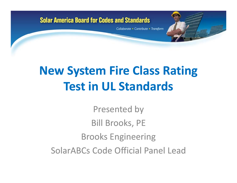Collaborate • Contribute • Transform

# **New System Fire Class Rating Test in UL Standards**

Presented by Bill Brooks, PE Brooks Engineering SolarABCs Code Official Panel Lead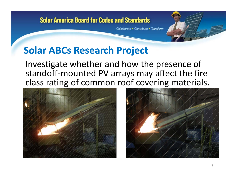Collaborate • Contribute • Transform

## **Solar ABCs Research Project**

Investigate whether and how the presence of standoff‐mounted PV arrays may affect the fire class rating of common roof covering materials.



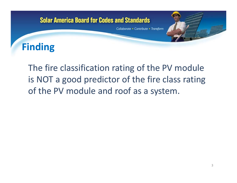# **Solar America Board for Codes and Standards** Collaborate • Contribute • Transform **Finding**

## The fire classification rating of the PV module is NOT <sup>a</sup> good predictor of the fire class rating of the PV module and roof as <sup>a</sup> system.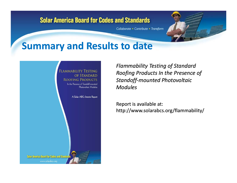Collaborate • Contribute • Transform

## **Summary and Results to date**



*Flammability Testing of Standard Roofing Products In the Presence of Standoff mounted Photovoltaic ‐Modules*

Report is available at: http://www.solarabcs.org/flammability/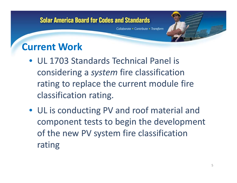Collaborate • Contribute • Transform

## **Current Work**

- UL 1703 Standards Technical Panel is considering <sup>a</sup> *system* fire classification rating to replace the current module fire classification rating.
- UL is conducting PV and roof material and component tests to begin the development of the new PV system fire classification rating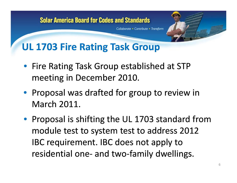# **Solar America Board for Codes and Standards** Collaborate • Contribute • Transform **UL 1703 Fire Rating Task Group**

- Fire Rating Task Group established at STP meeting in December 2010.
- Proposal was drafted for group to review in March 2011 2011.
- Proposal is shifting the UL 1703 standard from module test to system test to address 2012 IBC requirement. IBC does not apply to residential one‐ and two‐family dwellings.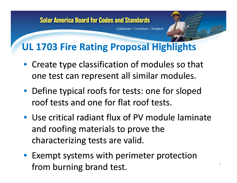Collaborate • Contribute • Transform

## **UL 1703 Fire Rating Proposal Highlights**

- Create type classification of modules so that one test can represent all similar modules. p
- Define typical roofs for tests: one for sloped roof tests and one for flat roof tests tests.
- Use critical radiant flux of PV module laminate and roofing materials to prove the characterizing tests are valid.
- Exempt systems with perimeter protection from burning brand test.  $\bullet$